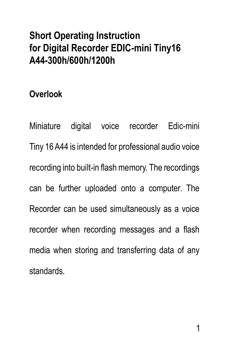# **Short Operating Instruction for Digital Recorder EDIC-mini Tiny16 A44-300h/600h/1200h**

#### **Overlook**

Miniature digital voice recorder Edic-mini Tiny 16 A44 is intended for professional audio voice recording into built-in flash memory. The recordings can be further uploaded onto a computer. The Recorder can be used simultaneously as a voice recorder when recording messages and a flash media when storing and transferring data of any standards.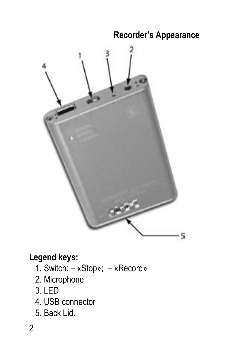#### **Recorder's Appearance**



### **Legend keys:**

- 1. Switch: «Stop»; «Record»
- 2. Microphone
- 3. LED
- 4. USB connector
- 5. Back Lid.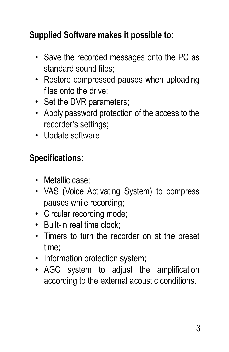### **Supplied Software makes it possible to:**

- Save the recorded messages onto the PC as standard sound files;
- Restore compressed pauses when uploading files onto the drive;
- Set the DVR parameters;
- Apply password protection of the access to the recorder's settings;
- Update software.

### **Specifications:**

- Metallic case:
- VAS (Voice Activating System) to compress pauses while recording;
- Circular recording mode;
- Built-in real time clock;
- Timers to turn the recorder on at the preset time;
- Information protection system:
- AGC system to adjust the amplification according to the external acoustic conditions.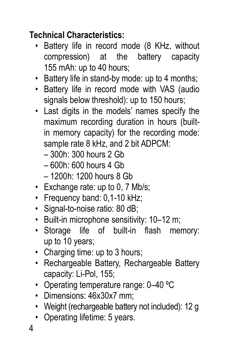### **Technical Characteristics:**

- Battery life in record mode (8 KHz, without compression) at the battery capacity 155 mAh: up to 40 hours;
- Battery life in stand-by mode: up to 4 months;
- Battery life in record mode with VAS (audio signals below threshold); up to 150 hours;
- Last digits in the models' names specify the maximum recording duration in hours (builtin memory capacity) for the recording mode: sample rate 8 kHz, and 2 bit ADPCM:
	- 300h: 300 hours 2 Gb
	- $-600h$ : 600 hours 4 Gb
	- 1200h: 1200 hours 8 Gb
- Exchange rate: up to 0, 7 Mb/s:
- Frequency band: 0,1-10 kHz;
- Signal-to-noise ratio: 80 dB:
- Built-in microphone sensitivity: 10–12 m;
- Storage life of built-in flash memory: up to 10 years;
- Charging time: up to 3 hours:
- Rechargeable Battery, Rechargeable Battery capacity: Li-Pol, 155;
- Operating temperature range: 0-40 °C
- Dimensions: 46x30x7 mm;
- Weight (rechargeable battery not included): 12 g
- Operating lifetime: 5 years.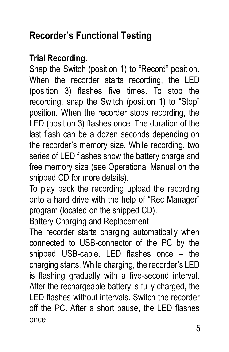# **Recorder's Functional Testing**

### **Trial Recording.**

Snap the Switch (position 1) to "Record" position. When the recorder starts recording, the LED (position 3) flashes five times. To stop the recording, snap the Switch (position 1) to "Stop" position. When the recorder stops recording, the LED (position 3) flashes once. The duration of the last flash can be a dozen seconds depending on the recorder's memory size. While recording, two series of LED flashes show the battery charge and free memory size (see Operational Manual on the shipped CD for more details).

To play back the recording upload the recording onto a hard drive with the help of "Rec Manager" program (located on the shipped CD).

Battery Charging and Replacement

The recorder starts charging automatically when connected to USB-connector of the PC by the shipped USB-cable. LED flashes once – the charging starts. While charging, the recorder's LED is flashing gradually with a five-second interval. After the rechargeable battery is fully charged, the LED flashes without intervals. Switch the recorder off the PC. After a short pause, the LED flashes once.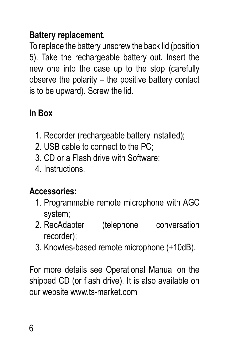### **Battery replacement.**

To replace the battery unscrew the back lid (position 5). Take the rechargeable battery out. Insert the new one into the case up to the stop (carefully observe the polarity – the positive battery contact is to be upward). Screw the lid.

# **In Box**

- 1. Recorder (rechargeable battery installed);
- 2. USB cable to connect to the PC;
- 3. CD or a Flash drive with Software;
- 4. Instructions.

# **Accessories:**

- 1. Programmable remote microphone with AGC system;
- 2. RecAdapter (telephone conversation recorder);
- 3. Knowles-based remote microphone (+10dB).

For more details see Operational Manual on the shipped CD (or flash drive). It is also available on our website www.ts-market.com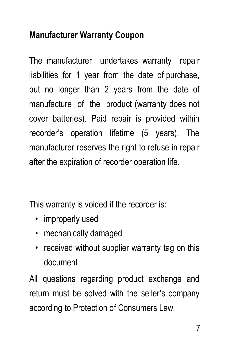### **Manufacturer Warranty Coupon**

The manufacturer undertakes warranty repair liabilities for 1 year from the date of purchase, but no longer than 2 years from the date of manufacture of the product (warranty does not cover batteries). Paid repair is provided within recorder's operation lifetime (5 years). The manufacturer reserves the right to refuse in repair after the expiration of recorder operation life.

This warranty is voided if the recorder is:

- improperly used
- mechanically damaged
- received without supplier warranty tag on this document

All questions regarding product exchange and return must be solved with the seller's company according to Protection of Consumers Law.